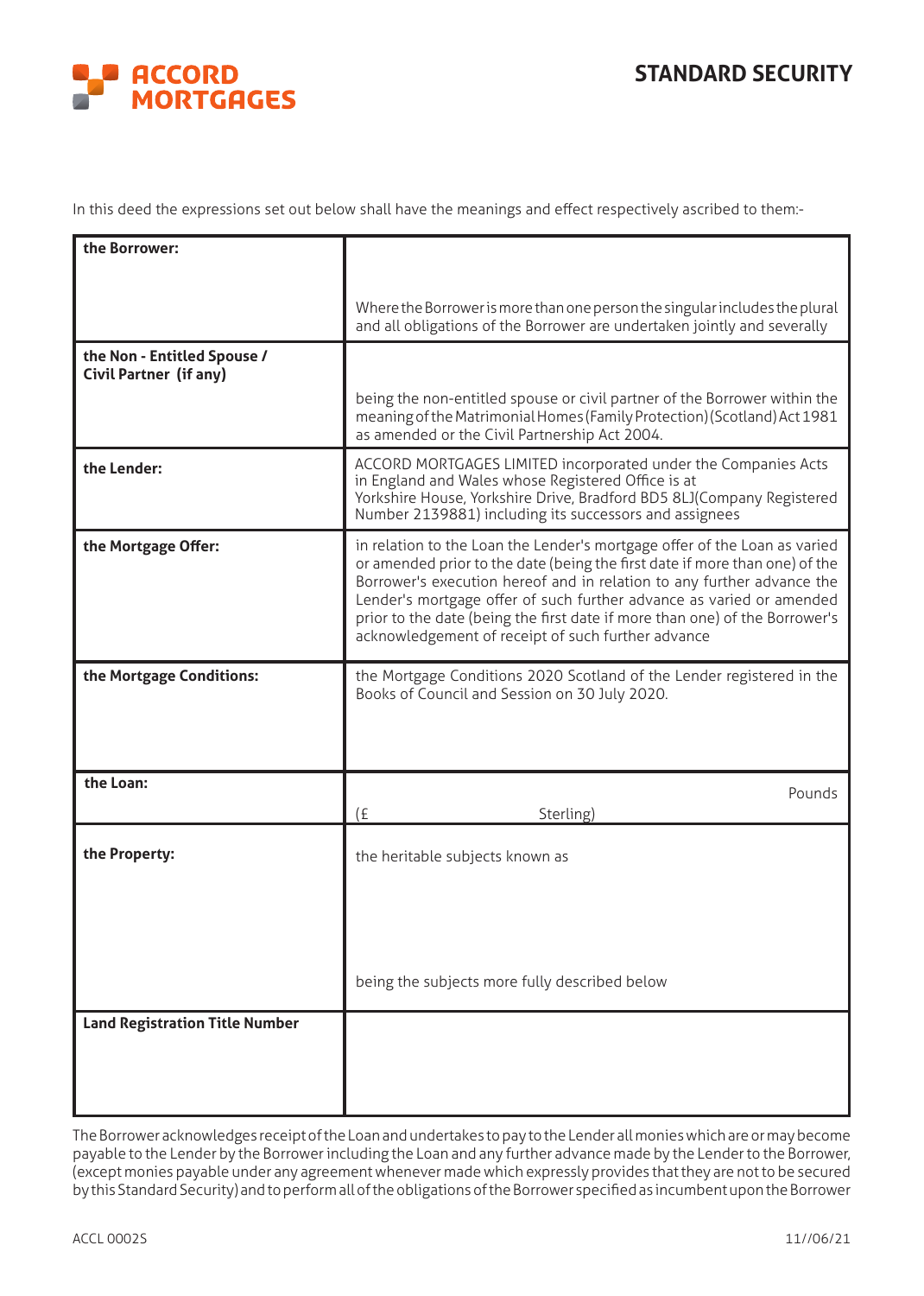## **STANDARD SECURITY**



In this deed the expressions set out below shall have the meanings and effect respectively ascribed to them:-

| the Borrower:                                                |                                                                                                                                                                                                                                                                                                                                                                                                                                                 |
|--------------------------------------------------------------|-------------------------------------------------------------------------------------------------------------------------------------------------------------------------------------------------------------------------------------------------------------------------------------------------------------------------------------------------------------------------------------------------------------------------------------------------|
|                                                              |                                                                                                                                                                                                                                                                                                                                                                                                                                                 |
|                                                              | Where the Borrower is more than one person the singular includes the plural<br>and all obligations of the Borrower are undertaken jointly and severally                                                                                                                                                                                                                                                                                         |
| the Non - Entitled Spouse /<br><b>Civil Partner (if any)</b> |                                                                                                                                                                                                                                                                                                                                                                                                                                                 |
|                                                              | being the non-entitled spouse or civil partner of the Borrower within the<br>meaning of the Matrimonial Homes (Family Protection) (Scotland) Act 1981<br>as amended or the Civil Partnership Act 2004.                                                                                                                                                                                                                                          |
| the Lender:                                                  | ACCORD MORTGAGES LIMITED incorporated under the Companies Acts<br>in England and Wales whose Registered Office is at<br>Yorkshire House, Yorkshire Drive, Bradford BD5 8LJ(Company Registered<br>Number 2139881) including its successors and assignees                                                                                                                                                                                         |
| the Mortgage Offer:                                          | in relation to the Loan the Lender's mortgage offer of the Loan as varied<br>or amended prior to the date (being the first date if more than one) of the<br>Borrower's execution hereof and in relation to any further advance the<br>Lender's mortgage offer of such further advance as varied or amended<br>prior to the date (being the first date if more than one) of the Borrower's<br>acknowledgement of receipt of such further advance |
| the Mortgage Conditions:                                     | the Mortgage Conditions 2020 Scotland of the Lender registered in the<br>Books of Council and Session on 30 July 2020.                                                                                                                                                                                                                                                                                                                          |
| the Loan:                                                    | Pounds<br>(E)<br>Sterling)                                                                                                                                                                                                                                                                                                                                                                                                                      |
| the Property:                                                | the heritable subjects known as                                                                                                                                                                                                                                                                                                                                                                                                                 |
|                                                              | being the subjects more fully described below                                                                                                                                                                                                                                                                                                                                                                                                   |
| <b>Land Registration Title Number</b>                        |                                                                                                                                                                                                                                                                                                                                                                                                                                                 |

The Borrower acknowledges receipt of the Loan and undertakes to pay to the Lender all monies which are or may become payable to the Lender by the Borrower including the Loan and any further advance made by the Lender to the Borrower, (except monies payable under any agreement whenever made which expressly provides that they are not to be secured by this Standard Security) and to perform all of the obligations of the Borrower specified as incumbent upon the Borrower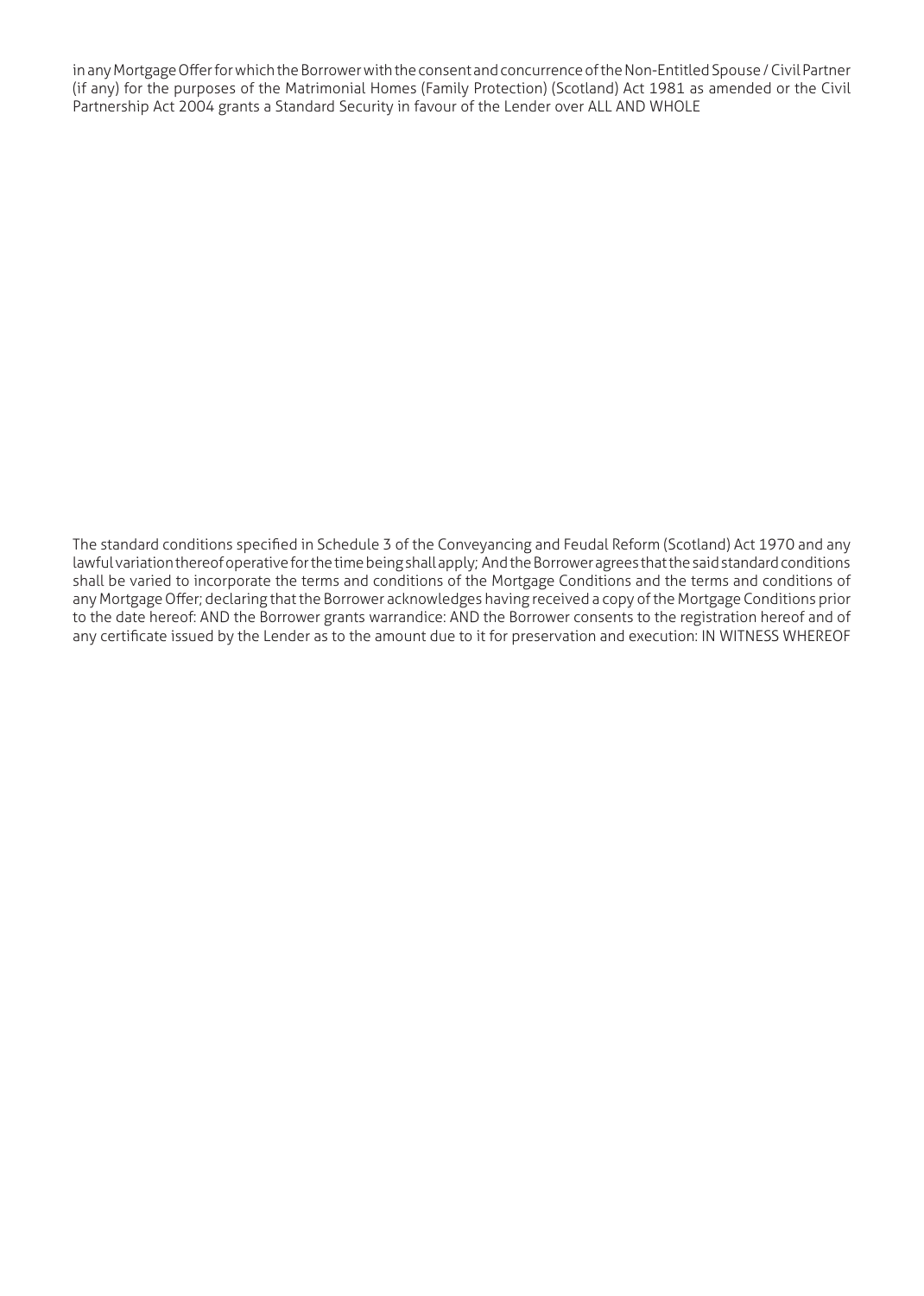in any Mortgage Offer for which the Borrower with the consent and concurrence of the Non-Entitled Spouse / Civil Partner (if any) for the purposes of the Matrimonial Homes (Family Protection) (Scotland) Act 1981 as amended or the Civil Partnership Act 2004 grants a Standard Security in favour of the Lender over ALL AND WHOLE

The standard conditions specified in Schedule 3 of the Conveyancing and Feudal Reform (Scotland) Act 1970 and any lawful variation thereof operative for the time being shall apply; And the Borrower agrees that the said standard conditions shall be varied to incorporate the terms and conditions of the Mortgage Conditions and the terms and conditions of any Mortgage Offer; declaring that the Borrower acknowledges having received a copy of the Mortgage Conditions prior to the date hereof: AND the Borrower grants warrandice: AND the Borrower consents to the registration hereof and of any certificate issued by the Lender as to the amount due to it for preservation and execution: IN WITNESS WHEREOF